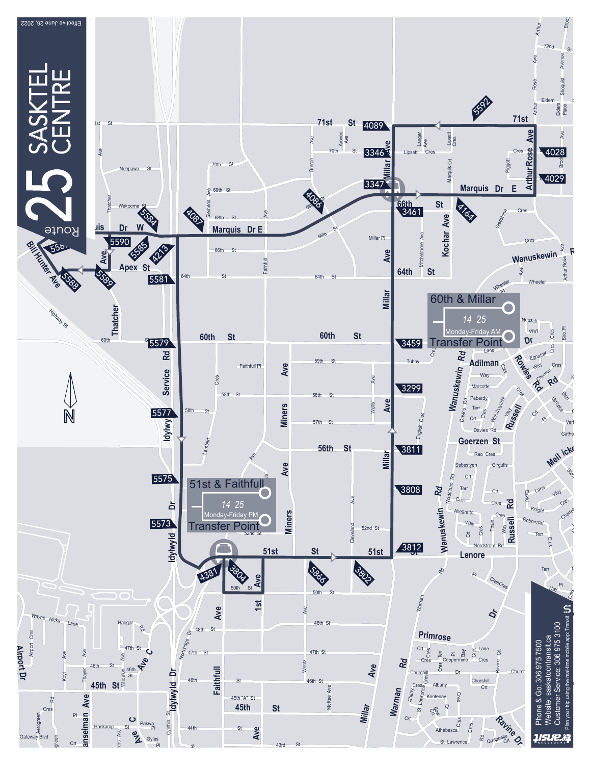